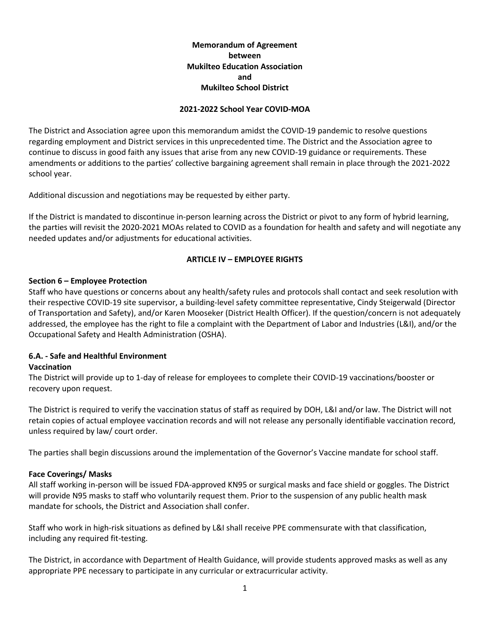# **Memorandum of Agreement between Mukilteo Education Association and Mukilteo School District**

#### **2021-2022 School Year COVID-MOA**

The District and Association agree upon this memorandum amidst the COVID-19 pandemic to resolve questions regarding employment and District services in this unprecedented time. The District and the Association agree to continue to discuss in good faith any issues that arise from any new COVID-19 guidance or requirements. These amendments or additions to the parties' collective bargaining agreement shall remain in place through the 2021-2022 school year.

Additional discussion and negotiations may be requested by either party.

If the District is mandated to discontinue in-person learning across the District or pivot to any form of hybrid learning, the parties will revisit the 2020-2021 MOAs related to COVID as a foundation for health and safety and will negotiate any needed updates and/or adjustments for educational activities.

#### **ARTICLE IV – EMPLOYEE RIGHTS**

#### **Section 6 – Employee Protection**

Staff who have questions or concerns about any health/safety rules and protocols shall contact and seek resolution with their respective COVID-19 site supervisor, a building-level safety committee representative, Cindy Steigerwald (Director of Transportation and Safety), and/or Karen Mooseker (District Health Officer). If the question/concern is not adequately addressed, the employee has the right to file a complaint with the Department of Labor and Industries (L&I), and/or the Occupational Safety and Health Administration (OSHA).

#### **6.A. - Safe and Healthful Environment**

#### **Vaccination**

The District will provide up to 1-day of release for employees to complete their COVID-19 vaccinations/booster or recovery upon request.

The District is required to verify the vaccination status of staff as required by DOH, L&I and/or law. The District will not retain copies of actual employee vaccination records and will not release any personally identifiable vaccination record, unless required by law/ court order.

The parties shall begin discussions around the implementation of the Governor's Vaccine mandate for school staff.

#### **Face Coverings/ Masks**

All staff working in-person will be issued FDA-approved KN95 or surgical masks and face shield or goggles. The District will provide N95 masks to staff who voluntarily request them. Prior to the suspension of any public health mask mandate for schools, the District and Association shall confer.

Staff who work in high-risk situations as defined by L&I shall receive PPE commensurate with that classification, including any required fit-testing.

The District, in accordance with Department of Health Guidance, will provide students approved masks as well as any appropriate PPE necessary to participate in any curricular or extracurricular activity.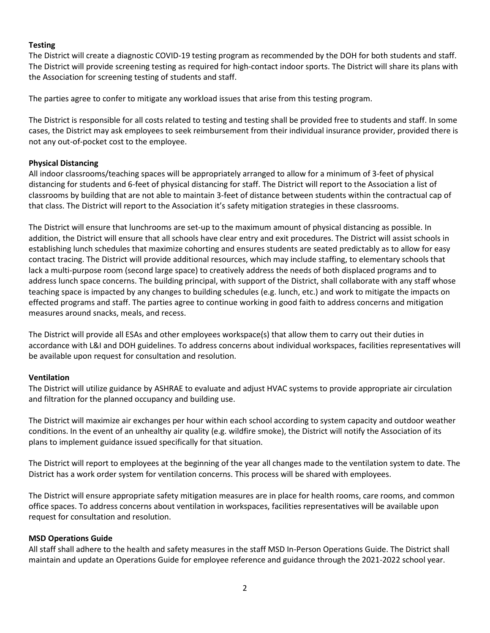## **Testing**

The District will create a diagnostic COVID-19 testing program as recommended by the DOH for both students and staff. The District will provide screening testing as required for high-contact indoor sports. The District will share its plans with the Association for screening testing of students and staff.

The parties agree to confer to mitigate any workload issues that arise from this testing program.

The District is responsible for all costs related to testing and testing shall be provided free to students and staff. In some cases, the District may ask employees to seek reimbursement from their individual insurance provider, provided there is not any out-of-pocket cost to the employee.

## **Physical Distancing**

All indoor classrooms/teaching spaces will be appropriately arranged to allow for a minimum of 3-feet of physical distancing for students and 6-feet of physical distancing for staff. The District will report to the Association a list of classrooms by building that are not able to maintain 3-feet of distance between students within the contractual cap of that class. The District will report to the Association it's safety mitigation strategies in these classrooms.

The District will ensure that lunchrooms are set-up to the maximum amount of physical distancing as possible. In addition, the District will ensure that all schools have clear entry and exit procedures. The District will assist schools in establishing lunch schedules that maximize cohorting and ensures students are seated predictably as to allow for easy contact tracing. The District will provide additional resources, which may include staffing, to elementary schools that lack a multi-purpose room (second large space) to creatively address the needs of both displaced programs and to address lunch space concerns. The building principal, with support of the District, shall collaborate with any staff whose teaching space is impacted by any changes to building schedules (e.g. lunch, etc.) and work to mitigate the impacts on effected programs and staff. The parties agree to continue working in good faith to address concerns and mitigation measures around snacks, meals, and recess.

The District will provide all ESAs and other employees workspace(s) that allow them to carry out their duties in accordance with L&I and DOH guidelines. To address concerns about individual workspaces, facilities representatives will be available upon request for consultation and resolution.

#### **Ventilation**

The District will utilize guidance by ASHRAE to evaluate and adjust HVAC systems to provide appropriate air circulation and filtration for the planned occupancy and building use.

The District will maximize air exchanges per hour within each school according to system capacity and outdoor weather conditions. In the event of an unhealthy air quality (e.g. wildfire smoke), the District will notify the Association of its plans to implement guidance issued specifically for that situation.

The District will report to employees at the beginning of the year all changes made to the ventilation system to date. The District has a work order system for ventilation concerns. This process will be shared with employees.

The District will ensure appropriate safety mitigation measures are in place for health rooms, care rooms, and common office spaces. To address concerns about ventilation in workspaces, facilities representatives will be available upon request for consultation and resolution.

#### **MSD Operations Guide**

All staff shall adhere to the health and safety measures in the staff MSD In-Person Operations Guide. The District shall maintain and update an Operations Guide for employee reference and guidance through the 2021-2022 school year.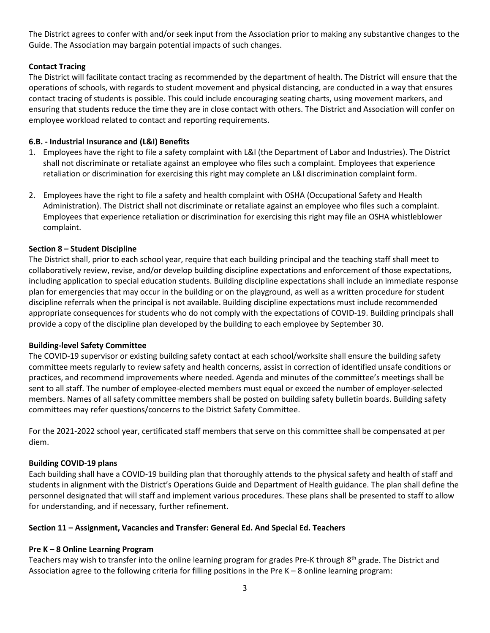The District agrees to confer with and/or seek input from the Association prior to making any substantive changes to the Guide. The Association may bargain potential impacts of such changes.

## **Contact Tracing**

The District will facilitate contact tracing as recommended by the department of health. The District will ensure that the operations of schools, with regards to student movement and physical distancing, are conducted in a way that ensures contact tracing of students is possible. This could include encouraging seating charts, using movement markers, and ensuring that students reduce the time they are in close contact with others. The District and Association will confer on employee workload related to contact and reporting requirements.

## **6.B. - Industrial Insurance and (L&I) Benefits**

- 1. Employees have the right to [file a safety complaint with L&I](https://lni.wa.gov/workers-rights/workplace-complaints/safety-complaints) (the Department of Labor and Industries). The District shall not discriminate or retaliate against an employee who files such a complaint. Employees that experience retaliation or discrimination for exercising this right may complete a[n L&I discrimination complaint form.](https://lni.wa.gov/workers-rights/workplace-complaints/discrimination-in-the-workplace)
- 2. Employees have the right to file a [safety and health complaint with OSHA](https://www.osha.gov/workers/file-complaint) (Occupational Safety and Health Administration). The District shall not discriminate or retaliate against an employee who files such a complaint. Employees that experience retaliation or discrimination for exercising this right may [file an OSHA whistleblower](https://www.osha.gov/whistleblower/WBComplaint.html)  [complaint.](https://www.osha.gov/whistleblower/WBComplaint.html)

## **Section 8 – Student Discipline**

The District shall, prior to each school year, require that each building principal and the teaching staff shall meet to collaboratively review, revise, and/or develop building discipline expectations and enforcement of those expectations, including application to special education students. Building discipline expectations shall include an immediate response plan for emergencies that may occur in the building or on the playground, as well as a written procedure for student discipline referrals when the principal is not available. Building discipline expectations must include recommended appropriate consequences for students who do not comply with the expectations of COVID-19. Building principals shall provide a copy of the discipline plan developed by the building to each employee by September 30.

#### **Building-level Safety Committee**

The COVID-19 supervisor or existing building safety contact at each school/worksite shall ensure the building safety committee meets regularly to review safety and health concerns, assist in correction of identified unsafe conditions or practices, and recommend improvements where needed. Agenda and minutes of the committee's meetings shall be sent to all staff. The number of employee-elected members must equal or exceed the number of employer-selected members. Names of all safety committee members shall be posted on building safety bulletin boards. Building safety committees may refer questions/concerns to the District Safety Committee.

For the 2021-2022 school year, certificated staff members that serve on this committee shall be compensated at per diem.

#### **Building COVID-19 plans**

Each building shall have a COVID-19 building plan that thoroughly attends to the physical safety and health of staff and students in alignment with the District's Operations Guide and Department of Health guidance. The plan shall define the personnel designated that will staff and implement various procedures. These plans shall be presented to staff to allow for understanding, and if necessary, further refinement.

#### **Section 11 – Assignment, Vacancies and Transfer: General Ed. And Special Ed. Teachers**

#### **Pre K – 8 Online Learning Program**

Teachers may wish to transfer into the online learning program for grades Pre-K through 8<sup>th</sup> grade. The District and Association agree to the following criteria for filling positions in the Pre K – 8 online learning program: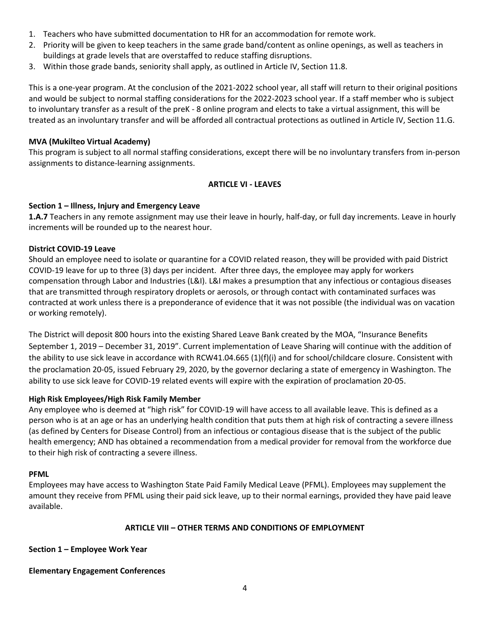- 1. Teachers who have submitted documentation to HR for an accommodation for remote work.
- 2. Priority will be given to keep teachers in the same grade band/content as online openings, as well as teachers in buildings at grade levels that are overstaffed to reduce staffing disruptions.
- 3. Within those grade bands, seniority shall apply, as outlined in Article IV, Section 11.8.

This is a one-year program. At the conclusion of the 2021-2022 school year, all staff will return to their original positions and would be subject to normal staffing considerations for the 2022-2023 school year. If a staff member who is subject to involuntary transfer as a result of the preK - 8 online program and elects to take a virtual assignment, this will be treated as an involuntary transfer and will be afforded all contractual protections as outlined in Article IV, Section 11.G.

#### **MVA (Mukilteo Virtual Academy)**

This program is subject to all normal staffing considerations, except there will be no involuntary transfers from in-person assignments to distance-learning assignments.

## **ARTICLE VI - LEAVES**

#### **Section 1 – Illness, Injury and Emergency Leave**

**1.A.7** Teachers in any remote assignment may use their leave in hourly, half-day, or full day increments. Leave in hourly increments will be rounded up to the nearest hour.

#### **District COVID-19 Leave**

Should an employee need to isolate or quarantine for a COVID related reason, they will be provided with paid District COVID-19 leave for up to three (3) days per incident. After three days, the employee may apply for workers compensation through Labor and Industries (L&I). L&I makes a presumption that any infectious or contagious diseases that are transmitted through respiratory droplets or aerosols, or through contact with contaminated surfaces was contracted at work unless there is a preponderance of evidence that it was not possible (the individual was on vacation or working remotely).

The District will deposit 800 hours into the existing Shared Leave Bank created by the MOA, "Insurance Benefits September 1, 2019 – December 31, 2019". Current implementation of Leave Sharing will continue with the addition of the ability to use sick leave in accordance with RCW41.04.665 (1)(f)(i) and for school/childcare closure. Consistent with the proclamation 20-05, issued February 29, 2020, by the governor declaring a state of emergency in Washington. The ability to use sick leave for COVID-19 related events will expire with the expiration of proclamation 20-05.

#### **High Risk Employees/High Risk Family Member**

Any employee who is deemed at "high risk" for COVID-19 will have access to all available leave. This is defined as a person who is at an age or has an underlying health condition that puts them at high risk of contracting a severe illness (as defined by Centers for Disease Control) from an infectious or contagious disease that is the subject of the public health emergency; AND has obtained a recommendation from a medical provider for removal from the workforce due to their high risk of contracting a severe illness.

#### **PFML**

Employees may have access to Washington State Paid Family Medical Leave (PFML). Employees may supplement the amount they receive from PFML using their paid sick leave, up to their normal earnings, provided they have paid leave available.

#### **ARTICLE VIII – OTHER TERMS AND CONDITIONS OF EMPLOYMENT**

#### **Section 1 – Employee Work Year**

#### **Elementary Engagement Conferences**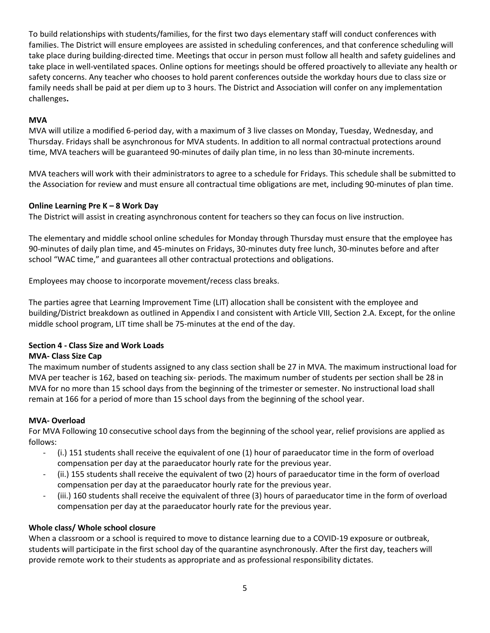To build relationships with students/families, for the first two days elementary staff will conduct conferences with families. The District will ensure employees are assisted in scheduling conferences, and that conference scheduling will take place during building-directed time. Meetings that occur in person must follow all health and safety guidelines and take place in well-ventilated spaces. Online options for meetings should be offered proactively to alleviate any health or safety concerns. Any teacher who chooses to hold parent conferences outside the workday hours due to class size or family needs shall be paid at per diem up to 3 hours. The District and Association will confer on any implementation challenges**.**

# **MVA**

MVA will utilize a modified 6-period day, with a maximum of 3 live classes on Monday, Tuesday, Wednesday, and Thursday. Fridays shall be asynchronous for MVA students. In addition to all normal contractual protections around time, MVA teachers will be guaranteed 90-minutes of daily plan time, in no less than 30-minute increments.

MVA teachers will work with their administrators to agree to a schedule for Fridays. This schedule shall be submitted to the Association for review and must ensure all contractual time obligations are met, including 90-minutes of plan time.

# **Online Learning Pre K – 8 Work Day**

The District will assist in creating asynchronous content for teachers so they can focus on live instruction.

The elementary and middle school online schedules for Monday through Thursday must ensure that the employee has 90-minutes of daily plan time, and 45-minutes on Fridays, 30-minutes duty free lunch, 30-minutes before and after school "WAC time," and guarantees all other contractual protections and obligations.

Employees may choose to incorporate movement/recess class breaks.

The parties agree that Learning Improvement Time (LIT) allocation shall be consistent with the employee and building/District breakdown as outlined in Appendix I and consistent with Article VIII, Section 2.A. Except, for the online middle school program, LIT time shall be 75-minutes at the end of the day.

# **Section 4 - Class Size and Work Loads**

# **MVA- Class Size Cap**

The maximum number of students assigned to any class section shall be 27 in MVA. The maximum instructional load for MVA per teacher is 162, based on teaching six- periods. The maximum number of students per section shall be 28 in MVA for no more than 15 school days from the beginning of the trimester or semester. No instructional load shall remain at 166 for a period of more than 15 school days from the beginning of the school year.

# **MVA- Overload**

For MVA Following 10 consecutive school days from the beginning of the school year, relief provisions are applied as follows:

- (i.) 151 students shall receive the equivalent of one (1) hour of paraeducator time in the form of overload compensation per day at the paraeducator hourly rate for the previous year.
- (ii.) 155 students shall receive the equivalent of two (2) hours of paraeducator time in the form of overload compensation per day at the paraeducator hourly rate for the previous year.
- (iii.) 160 students shall receive the equivalent of three (3) hours of paraeducator time in the form of overload compensation per day at the paraeducator hourly rate for the previous year.

# **Whole class/ Whole school closure**

When a classroom or a school is required to move to distance learning due to a COVID-19 exposure or outbreak, students will participate in the first school day of the quarantine asynchronously. After the first day, teachers will provide remote work to their students as appropriate and as professional responsibility dictates.